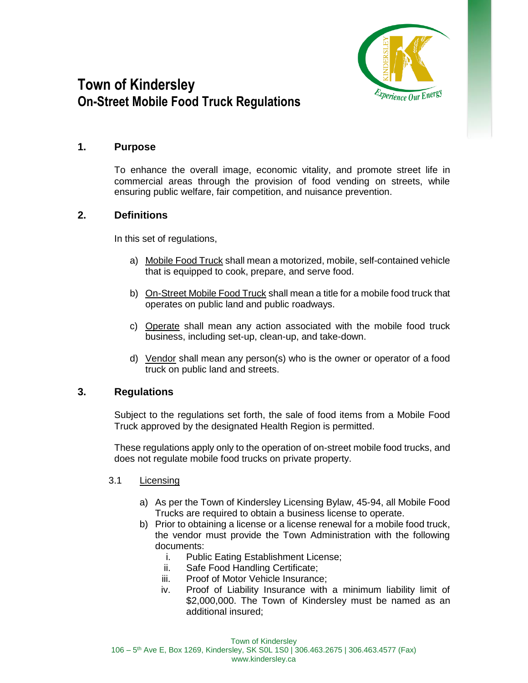

# **Town of Kindersley On-Street Mobile Food Truck Regulations**

### **1. Purpose**

To enhance the overall image, economic vitality, and promote street life in commercial areas through the provision of food vending on streets, while ensuring public welfare, fair competition, and nuisance prevention.

# **2. Definitions**

In this set of regulations,

- a) Mobile Food Truck shall mean a motorized, mobile, self-contained vehicle that is equipped to cook, prepare, and serve food.
- b) On-Street Mobile Food Truck shall mean a title for a mobile food truck that operates on public land and public roadways.
- c) Operate shall mean any action associated with the mobile food truck business, including set-up, clean-up, and take-down.
- d) Vendor shall mean any person(s) who is the owner or operator of a food truck on public land and streets.

# **3. Regulations**

Subject to the regulations set forth, the sale of food items from a Mobile Food Truck approved by the designated Health Region is permitted.

These regulations apply only to the operation of on-street mobile food trucks, and does not regulate mobile food trucks on private property.

#### 3.1 Licensing

- a) As per the Town of Kindersley Licensing Bylaw, 45-94, all Mobile Food Trucks are required to obtain a business license to operate.
- b) Prior to obtaining a license or a license renewal for a mobile food truck, the vendor must provide the Town Administration with the following documents:
	- i. Public Eating Establishment License;
	- ii. Safe Food Handling Certificate;
	- iii. Proof of Motor Vehicle Insurance;
	- iv. Proof of Liability Insurance with a minimum liability limit of \$2,000,000. The Town of Kindersley must be named as an additional insured;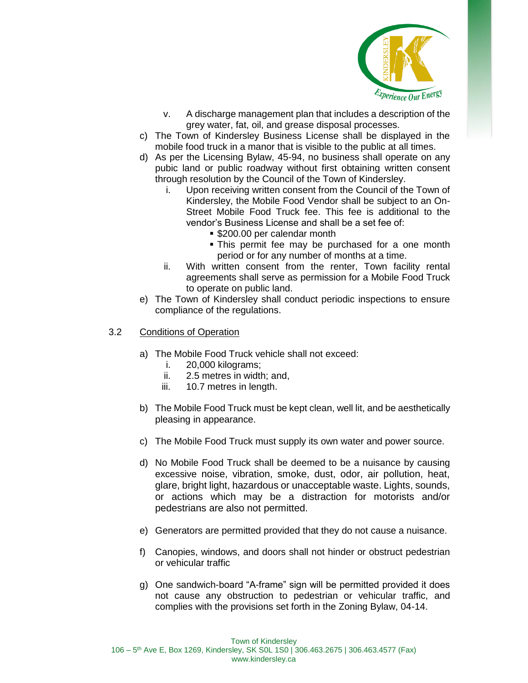

- v. A discharge management plan that includes a description of the grey water, fat, oil, and grease disposal processes.
- c) The Town of Kindersley Business License shall be displayed in the mobile food truck in a manor that is visible to the public at all times.
- d) As per the Licensing Bylaw, 45-94, no business shall operate on any pubic land or public roadway without first obtaining written consent through resolution by the Council of the Town of Kindersley.
	- i. Upon receiving written consent from the Council of the Town of Kindersley, the Mobile Food Vendor shall be subject to an On-Street Mobile Food Truck fee. This fee is additional to the vendor's Business License and shall be a set fee of:
		- \$200.00 per calendar month
		- **This permit fee may be purchased for a one month** period or for any number of months at a time.
	- ii. With written consent from the renter, Town facility rental agreements shall serve as permission for a Mobile Food Truck to operate on public land.
- e) The Town of Kindersley shall conduct periodic inspections to ensure compliance of the regulations.
- 3.2 Conditions of Operation
	- a) The Mobile Food Truck vehicle shall not exceed:
		- i. 20,000 kilograms;
		- ii. 2.5 metres in width; and,
		- iii. 10.7 metres in length.
	- b) The Mobile Food Truck must be kept clean, well lit, and be aesthetically pleasing in appearance.
	- c) The Mobile Food Truck must supply its own water and power source.
	- d) No Mobile Food Truck shall be deemed to be a nuisance by causing excessive noise, vibration, smoke, dust, odor, air pollution, heat, glare, bright light, hazardous or unacceptable waste. Lights, sounds, or actions which may be a distraction for motorists and/or pedestrians are also not permitted.
	- e) Generators are permitted provided that they do not cause a nuisance.
	- f) Canopies, windows, and doors shall not hinder or obstruct pedestrian or vehicular traffic
	- g) One sandwich-board "A-frame" sign will be permitted provided it does not cause any obstruction to pedestrian or vehicular traffic, and complies with the provisions set forth in the Zoning Bylaw, 04-14.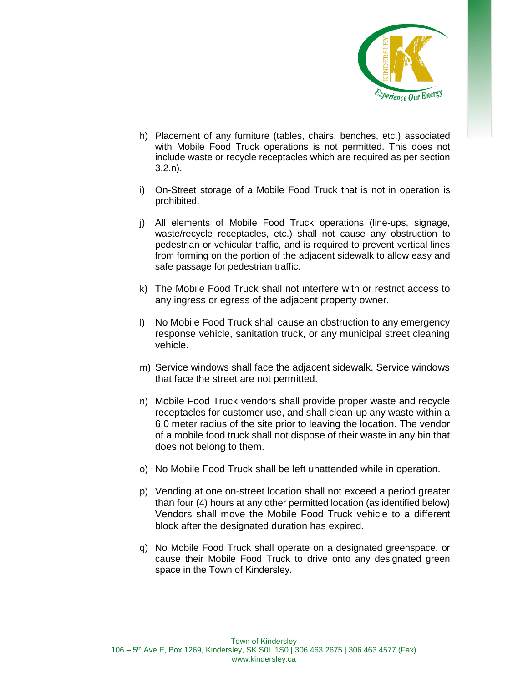

- h) Placement of any furniture (tables, chairs, benches, etc.) associated with Mobile Food Truck operations is not permitted. This does not include waste or recycle receptacles which are required as per section 3.2.n).
- i) On-Street storage of a Mobile Food Truck that is not in operation is prohibited.
- j) All elements of Mobile Food Truck operations (line-ups, signage, waste/recycle receptacles, etc.) shall not cause any obstruction to pedestrian or vehicular traffic, and is required to prevent vertical lines from forming on the portion of the adjacent sidewalk to allow easy and safe passage for pedestrian traffic.
- k) The Mobile Food Truck shall not interfere with or restrict access to any ingress or egress of the adjacent property owner.
- l) No Mobile Food Truck shall cause an obstruction to any emergency response vehicle, sanitation truck, or any municipal street cleaning vehicle.
- m) Service windows shall face the adjacent sidewalk. Service windows that face the street are not permitted.
- n) Mobile Food Truck vendors shall provide proper waste and recycle receptacles for customer use, and shall clean-up any waste within a 6.0 meter radius of the site prior to leaving the location. The vendor of a mobile food truck shall not dispose of their waste in any bin that does not belong to them.
- o) No Mobile Food Truck shall be left unattended while in operation.
- p) Vending at one on-street location shall not exceed a period greater than four (4) hours at any other permitted location (as identified below) Vendors shall move the Mobile Food Truck vehicle to a different block after the designated duration has expired.
- q) No Mobile Food Truck shall operate on a designated greenspace, or cause their Mobile Food Truck to drive onto any designated green space in the Town of Kindersley.